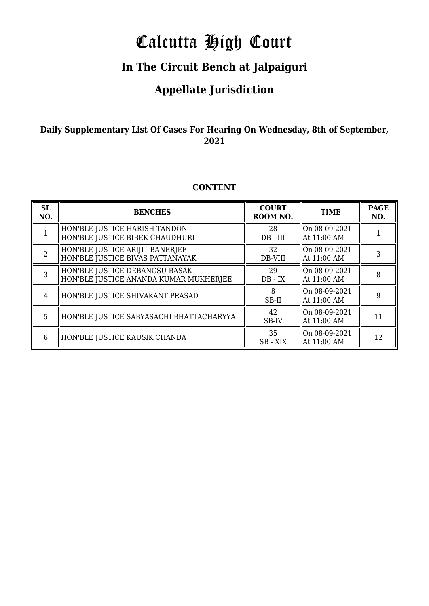# Calcutta High Court

## **In The Circuit Bench at Jalpaiguri**

## **Appellate Jurisdiction**

## **Daily Supplementary List Of Cases For Hearing On Wednesday, 8th of September, 2021**

## **CONTENT**

| <b>SL</b><br>NO. | <b>BENCHES</b>                                                           | <b>COURT</b><br>ROOM NO. | <b>TIME</b>                  | <b>PAGE</b><br>NO. |
|------------------|--------------------------------------------------------------------------|--------------------------|------------------------------|--------------------|
|                  | HON'BLE JUSTICE HARISH TANDON<br>HON'BLE JUSTICE BIBEK CHAUDHURI         | 28<br>$DB - III$         | On 08-09-2021<br>At 11:00 AM |                    |
| $\mathcal{D}$    | HON'BLE JUSTICE ARIJIT BANERJEE<br>HON'BLE JUSTICE BIVAS PATTANAYAK      | 32<br>DB-VIII            | On 08-09-2021<br>At 11:00 AM |                    |
| 3                | HON'BLE JUSTICE DEBANGSU BASAK<br>HON'BLE JUSTICE ANANDA KUMAR MUKHERJEE | 29<br>$DB - IX$          | On 08-09-2021<br>At 11:00 AM | 8                  |
| 4                | HON'BLE JUSTICE SHIVAKANT PRASAD                                         | 8<br>SB-II               | On 08-09-2021<br>At 11:00 AM | 9                  |
| 5                | HON'BLE JUSTICE SABYASACHI BHATTACHARYYA                                 | 42<br>SB-IV              | On 08-09-2021<br>At 11:00 AM | 11                 |
| 6                | HON'BLE JUSTICE KAUSIK CHANDA                                            | 35<br>SB - XIX           | On 08-09-2021<br>At 11:00 AM | 12                 |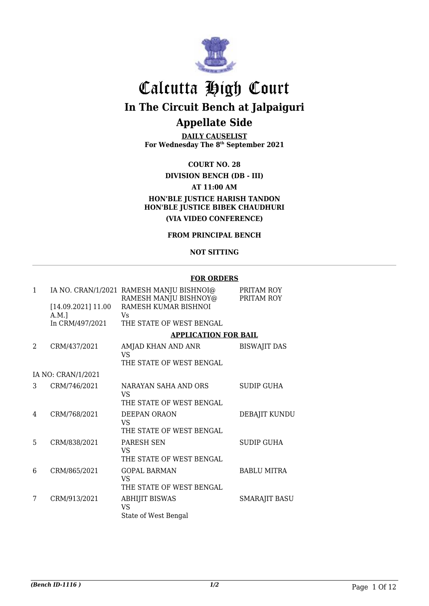

# Calcutta High Court **In The Circuit Bench at Jalpaiguri**

## **Appellate Side**

**DAILY CAUSELIST For Wednesday The 8th September 2021**

#### **COURT NO. 28**

## **DIVISION BENCH (DB - III) AT 11:00 AM HON'BLE JUSTICE HARISH TANDON HON'BLE JUSTICE BIBEK CHAUDHURI (VIA VIDEO CONFERENCE)**

#### **FROM PRINCIPAL BENCH**

#### **NOT SITTING**

#### **FOR ORDERS**

| 1              |                                | IA NO. CRAN/1/2021 RAMESH MANJU BISHNOI@<br>RAMESH MANJU BISHNOY@ | PRITAM ROY<br>PRITAM ROY |
|----------------|--------------------------------|-------------------------------------------------------------------|--------------------------|
|                | [14.09.2021] 11.00<br>$A.M.$ ] | RAMESH KUMAR BISHNOI<br>Vs                                        |                          |
|                | In CRM/497/2021                | THE STATE OF WEST BENGAL                                          |                          |
|                |                                | <b>APPLICATION FOR BAIL</b>                                       |                          |
| $\mathfrak{D}$ | CRM/437/2021                   | AMJAD KHAN AND ANR<br>VS.                                         | <b>BISWAJIT DAS</b>      |
|                |                                | THE STATE OF WEST BENGAL                                          |                          |
|                | IA NO: CRAN/1/2021             |                                                                   |                          |
| 3              | CRM/746/2021                   | NARAYAN SAHA AND ORS<br>VS.                                       | <b>SUDIP GUHA</b>        |
|                |                                | THE STATE OF WEST BENGAL                                          |                          |
| 4              | CRM/768/2021                   | DEEPAN ORAON<br>VS.                                               | DEBAJIT KUNDU            |
|                |                                | THE STATE OF WEST BENGAL                                          |                          |
| 5              | CRM/838/2021                   | <b>PARESH SEN</b><br>VS.<br>THE STATE OF WEST BENGAL              | <b>SUDIP GUHA</b>        |
|                |                                |                                                                   |                          |
| 6              | CRM/865/2021                   | <b>GOPAL BARMAN</b><br>VS.                                        | <b>BABLU MITRA</b>       |
|                |                                | THE STATE OF WEST BENGAL                                          |                          |
| 7              | CRM/913/2021                   | <b>ABHIJIT BISWAS</b><br>VS.                                      | <b>SMARAJIT BASU</b>     |
|                |                                | State of West Bengal                                              |                          |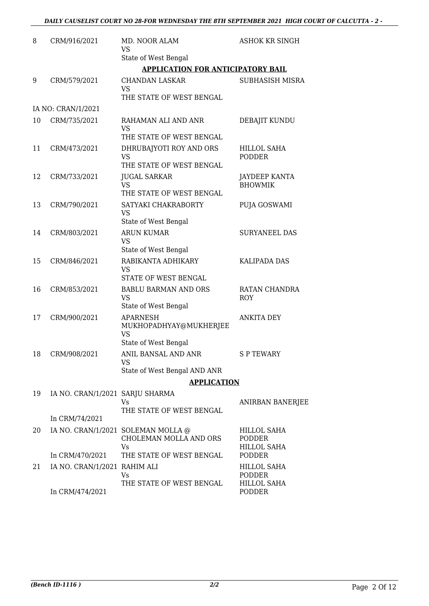#### *DAILY CAUSELIST COURT NO 28-FOR WEDNESDAY THE 8TH SEPTEMBER 2021 HIGH COURT OF CALCUTTA - 2 -*

| 8  | CRM/916/2021                    | MD. NOOR ALAM<br>VS                              | <b>ASHOK KR SINGH</b>                  |
|----|---------------------------------|--------------------------------------------------|----------------------------------------|
|    |                                 | State of West Bengal                             |                                        |
|    |                                 | <b>APPLICATION FOR ANTICIPATORY BAIL</b>         |                                        |
| 9  | CRM/579/2021                    | <b>CHANDAN LASKAR</b><br>VS                      | SUBHASISH MISRA                        |
|    |                                 | THE STATE OF WEST BENGAL                         |                                        |
|    | IA NO: CRAN/1/2021              |                                                  |                                        |
| 10 | CRM/735/2021                    | RAHAMAN ALI AND ANR<br>VS                        | DEBAJIT KUNDU                          |
|    |                                 | THE STATE OF WEST BENGAL                         |                                        |
| 11 | CRM/473/2021                    | DHRUBAJYOTI ROY AND ORS<br><b>VS</b>             | <b>HILLOL SAHA</b><br><b>PODDER</b>    |
|    |                                 | THE STATE OF WEST BENGAL                         |                                        |
| 12 | CRM/733/2021                    | <b>JUGAL SARKAR</b><br>VS                        | <b>JAYDEEP KANTA</b><br><b>BHOWMIK</b> |
|    |                                 | THE STATE OF WEST BENGAL                         |                                        |
| 13 | CRM/790/2021                    | SATYAKI CHAKRABORTY<br>VS                        | PUJA GOSWAMI                           |
|    |                                 | State of West Bengal                             |                                        |
| 14 | CRM/803/2021                    | <b>ARUN KUMAR</b><br><b>VS</b>                   | <b>SURYANEEL DAS</b>                   |
|    |                                 | State of West Bengal                             |                                        |
| 15 | CRM/846/2021                    | RABIKANTA ADHIKARY<br>VS<br>STATE OF WEST BENGAL | <b>KALIPADA DAS</b>                    |
| 16 | CRM/853/2021                    | <b>BABLU BARMAN AND ORS</b>                      | RATAN CHANDRA                          |
|    |                                 | <b>VS</b><br>State of West Bengal                | <b>ROY</b>                             |
| 17 | CRM/900/2021                    | <b>APARNESH</b>                                  | <b>ANKITA DEY</b>                      |
|    |                                 | MUKHOPADHYAY@MUKHERJEE<br>VS                     |                                        |
|    |                                 | State of West Bengal                             |                                        |
| 18 | CRM/908/2021                    | ANIL BANSAL AND ANR<br>VS                        | S P TEWARY                             |
|    |                                 | State of West Bengal AND ANR                     |                                        |
|    |                                 | <b>APPLICATION</b>                               |                                        |
| 19 | IA NO. CRAN/1/2021 SARJU SHARMA | Vs<br>THE STATE OF WEST BENGAL                   | ANIRBAN BANERJEE                       |
|    | In CRM/74/2021                  |                                                  |                                        |
| 20 |                                 | IA NO. CRAN/1/2021 SOLEMAN MOLLA @               | HILLOL SAHA                            |
|    |                                 | CHOLEMAN MOLLA AND ORS<br>Vs                     | <b>PODDER</b><br>HILLOL SAHA           |
|    | In CRM/470/2021                 | THE STATE OF WEST BENGAL                         | <b>PODDER</b>                          |
| 21 | IA NO. CRAN/1/2021 RAHIM ALI    | Vs                                               | <b>HILLOL SAHA</b><br>PODDER           |
|    | In CRM/474/2021                 | THE STATE OF WEST BENGAL                         | HILLOL SAHA<br>PODDER                  |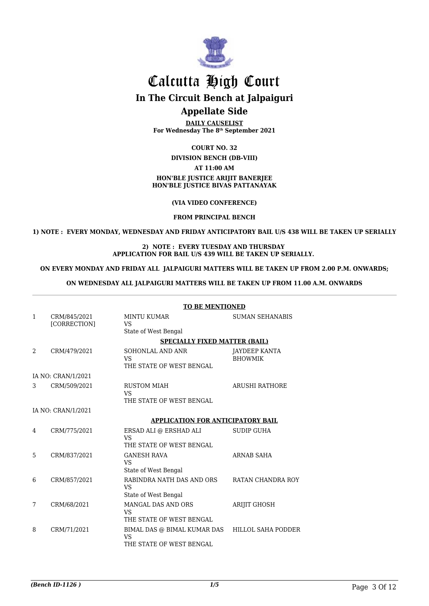

## Calcutta High Court **In The Circuit Bench at Jalpaiguri**

## **Appellate Side**

**DAILY CAUSELIST For Wednesday The 8th September 2021**

**COURT NO. 32**

**DIVISION BENCH (DB-VIII)**

**AT 11:00 AM**

### **HON'BLE JUSTICE ARIJIT BANERJEE HON'BLE JUSTICE BIVAS PATTANAYAK**

#### **(VIA VIDEO CONFERENCE)**

#### **FROM PRINCIPAL BENCH**

**1) NOTE : EVERY MONDAY, WEDNESDAY AND FRIDAY ANTICIPATORY BAIL U/S 438 WILL BE TAKEN UP SERIALLY**

#### **2) NOTE : EVERY TUESDAY AND THURSDAY APPLICATION FOR BAIL U/S 439 WILL BE TAKEN UP SERIALLY.**

#### **ON EVERY MONDAY AND FRIDAY ALL JALPAIGURI MATTERS WILL BE TAKEN UP FROM 2.00 P.M. ONWARDS;**

#### **ON WEDNESDAY ALL JALPAIGURI MATTERS WILL BE TAKEN UP FROM 11.00 A.M. ONWARDS**

|              |                              | <b>TO BE MENTIONED</b>                                         |                                        |  |  |
|--------------|------------------------------|----------------------------------------------------------------|----------------------------------------|--|--|
| $\mathbf{1}$ | CRM/845/2021<br>[CORRECTION] | <b>MINTU KUMAR</b><br><b>VS</b><br>State of West Bengal        | <b>SUMAN SEHANABIS</b>                 |  |  |
|              |                              | <b>SPECIALLY FIXED MATTER (BAIL)</b>                           |                                        |  |  |
| 2            | CRM/479/2021                 | SOHONLAL AND ANR<br>VS<br>THE STATE OF WEST BENGAL             | <b>JAYDEEP KANTA</b><br><b>BHOWMIK</b> |  |  |
|              | IA NO: CRAN/1/2021           |                                                                |                                        |  |  |
| 3            | CRM/509/2021                 | <b>RUSTOM MIAH</b><br>VS<br>THE STATE OF WEST BENGAL           | <b>ARUSHI RATHORE</b>                  |  |  |
|              | IA NO: CRAN/1/2021           |                                                                |                                        |  |  |
|              |                              | <b>APPLICATION FOR ANTICIPATORY BAIL</b>                       |                                        |  |  |
| 4            | CRM/775/2021                 | ERSAD ALI @ ERSHAD ALI<br>VS<br>THE STATE OF WEST BENGAL       | SUDIP GUHA                             |  |  |
| 5            | CRM/837/2021                 | <b>GANESH RAVA</b><br>VS<br>State of West Bengal               | <b>ARNAB SAHA</b>                      |  |  |
| 6            | CRM/857/2021                 | RABINDRA NATH DAS AND ORS<br><b>VS</b><br>State of West Bengal | RATAN CHANDRA ROY                      |  |  |
| 7            | CRM/68/2021                  | <b>MANGAL DAS AND ORS</b><br>VS<br>THE STATE OF WEST BENGAL    | ARIJIT GHOSH                           |  |  |
| 8            | CRM/71/2021                  | BIMAL DAS @ BIMAL KUMAR DAS<br>VS<br>THE STATE OF WEST BENGAL  | HILLOL SAHA PODDER                     |  |  |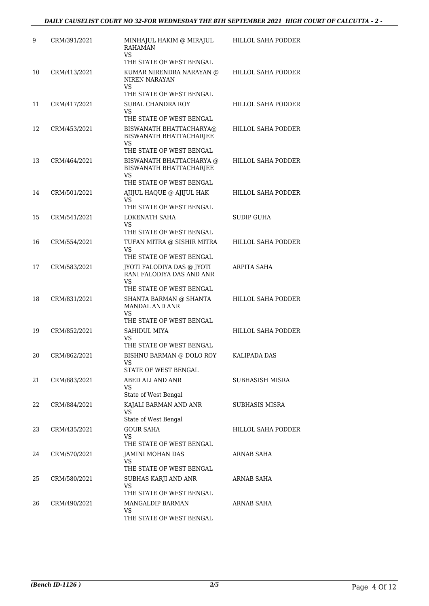| 9  | CRM/391/2021 | MINHAJUL HAKIM @ MIRAJUL<br><b>RAHAMAN</b><br>VS<br>THE STATE OF WEST BENGAL      | HILLOL SAHA PODDER |
|----|--------------|-----------------------------------------------------------------------------------|--------------------|
| 10 | CRM/413/2021 | KUMAR NIRENDRA NARAYAN @<br>NIREN NARAYAN<br>VS<br>THE STATE OF WEST BENGAL       | HILLOL SAHA PODDER |
| 11 | CRM/417/2021 | <b>SUBAL CHANDRA ROY</b><br>VS<br>THE STATE OF WEST BENGAL                        | HILLOL SAHA PODDER |
| 12 | CRM/453/2021 | BISWANATH BHATTACHARYA@<br>BISWANATH BHATTACHARJEE<br>VS                          | HILLOL SAHA PODDER |
|    |              | THE STATE OF WEST BENGAL                                                          |                    |
| 13 | CRM/464/2021 | BISWANATH BHATTACHARYA @<br>BISWANATH BHATTACHARJEE<br>VS                         | HILLOL SAHA PODDER |
|    |              | THE STATE OF WEST BENGAL                                                          |                    |
| 14 | CRM/501/2021 | AJIJUL HAQUE @ AJIJUL HAK<br>VS<br>THE STATE OF WEST BENGAL                       | HILLOL SAHA PODDER |
| 15 | CRM/541/2021 | LOKENATH SAHA                                                                     | <b>SUDIP GUHA</b>  |
|    |              | VS                                                                                |                    |
|    |              | THE STATE OF WEST BENGAL                                                          |                    |
| 16 | CRM/554/2021 | TUFAN MITRA @ SISHIR MITRA<br>VS<br>THE STATE OF WEST BENGAL                      | HILLOL SAHA PODDER |
| 17 | CRM/583/2021 | JYOTI FALODIYA DAS @ JYOTI<br>RANI FALODIYA DAS AND ANR<br>VS                     | ARPITA SAHA        |
| 18 | CRM/831/2021 | THE STATE OF WEST BENGAL<br>SHANTA BARMAN @ SHANTA<br><b>MANDAL AND ANR</b><br>VS | HILLOL SAHA PODDER |
|    |              | THE STATE OF WEST BENGAL                                                          |                    |
| 19 | CRM/852/2021 | SAHIDUL MIYA<br>VS                                                                | HILLOL SAHA PODDER |
|    |              | THE STATE OF WEST BENGAL                                                          |                    |
| 20 | CRM/862/2021 | BISHNU BARMAN @ DOLO ROY<br>VS<br>STATE OF WEST BENGAL                            | KALIPADA DAS       |
| 21 | CRM/883/2021 | ABED ALI AND ANR<br>VS                                                            | SUBHASISH MISRA    |
| 22 | CRM/884/2021 | State of West Bengal<br>KAJALI BARMAN AND ANR                                     | SUBHASIS MISRA     |
|    |              | <b>VS</b><br>State of West Bengal                                                 |                    |
| 23 | CRM/435/2021 | <b>GOUR SAHA</b><br>VS.                                                           | HILLOL SAHA PODDER |
|    |              | THE STATE OF WEST BENGAL                                                          |                    |
| 24 | CRM/570/2021 | JAMINI MOHAN DAS<br>VS                                                            | ARNAB SAHA         |
|    |              | THE STATE OF WEST BENGAL                                                          |                    |
| 25 | CRM/580/2021 | SUBHAS KARJI AND ANR<br>VS<br>THE STATE OF WEST BENGAL                            | ARNAB SAHA         |
| 26 | CRM/490/2021 | MANGALDIP BARMAN                                                                  | ARNAB SAHA         |
|    |              | VS<br>THE STATE OF WEST BENGAL                                                    |                    |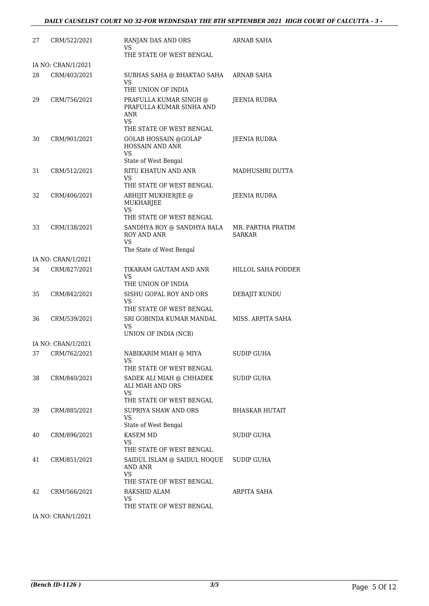| 27 | CRM/522/2021       | RANJAN DAS AND ORS<br>VS<br>THE STATE OF WEST BENGAL                                           | <b>ARNAB SAHA</b>                  |
|----|--------------------|------------------------------------------------------------------------------------------------|------------------------------------|
|    | IA NO: CRAN/1/2021 |                                                                                                |                                    |
| 28 | CRM/403/2021       | SUBHAS SAHA @ BHAKTAO SAHA<br>VS                                                               | ARNAB SAHA                         |
| 29 | CRM/756/2021       | THE UNION OF INDIA<br>PRAFULLA KUMAR SINGH @<br>PRAFULLA KUMAR SINHA AND<br>ANR<br><b>VS</b>   | JEENIA RUDRA                       |
| 30 | CRM/901/2021       | THE STATE OF WEST BENGAL<br><b>GOLAB HOSSAIN @GOLAP</b><br><b>HOSSAIN AND ANR</b><br><b>VS</b> | JEENIA RUDRA                       |
| 31 | CRM/512/2021       | State of West Bengal<br>RITU KHATUN AND ANR<br>VS<br>THE STATE OF WEST BENGAL                  | MADHUSHRI DUTTA                    |
| 32 | CRM/406/2021       | ABHIJIT MUKHERJEE @<br><b>MUKHARJEE</b><br>VS<br>THE STATE OF WEST BENGAL                      | <b>JEENIA RUDRA</b>                |
| 33 | CRM/138/2021       | SANDHYA ROY @ SANDHYA BALA<br><b>ROY AND ANR</b><br>VS<br>The State of West Bengal             | MR. PARTHA PRATIM<br><b>SARKAR</b> |
|    | IA NO: CRAN/1/2021 |                                                                                                |                                    |
| 34 | CRM/827/2021       | TIKARAM GAUTAM AND ANR                                                                         | HILLOL SAHA PODDER                 |
|    |                    | VS<br>THE UNION OF INDIA                                                                       |                                    |
| 35 | CRM/842/2021       | SISHU GOPAL ROY AND ORS<br>VS<br>THE STATE OF WEST BENGAL                                      | DEBAJIT KUNDU                      |
| 36 | CRM/539/2021       | SRI GOBINDA KUMAR MANDAL<br>VS<br>UNION OF INDIA (NCB)                                         | MISS. ARPITA SAHA                  |
|    | IA NO: CRAN/1/2021 |                                                                                                |                                    |
| 37 | CRM/762/2021       | NABIKARIM MIAH @ MIYA<br>VS<br>THE STATE OF WEST BENGAL                                        | <b>SUDIP GUHA</b>                  |
| 38 | CRM/840/2021       | SADEK ALI MIAH @ CHHADEK<br><b>ALI MIAH AND ORS</b><br><b>VS</b><br>THE STATE OF WEST BENGAL   | SUDIP GUHA                         |
| 39 | CRM/885/2021       | SUPRIYA SHAW AND ORS<br>VS                                                                     | <b>BHASKAR HUTAIT</b>              |
| 40 | CRM/896/2021       | State of West Bengal<br><b>KASEM MD</b><br>VS<br>THE STATE OF WEST BENGAL                      | <b>SUDIP GUHA</b>                  |
| 41 | CRM/851/2021       | SAIDUL ISLAM @ SAIDUL HOQUE<br>AND ANR<br>VS                                                   | SUDIP GUHA                         |
| 42 | CRM/566/2021       | THE STATE OF WEST BENGAL<br>RAKSHID ALAM<br>VS<br>THE STATE OF WEST BENGAL                     | ARPITA SAHA                        |
|    |                    |                                                                                                |                                    |

IA NO: CRAN/1/2021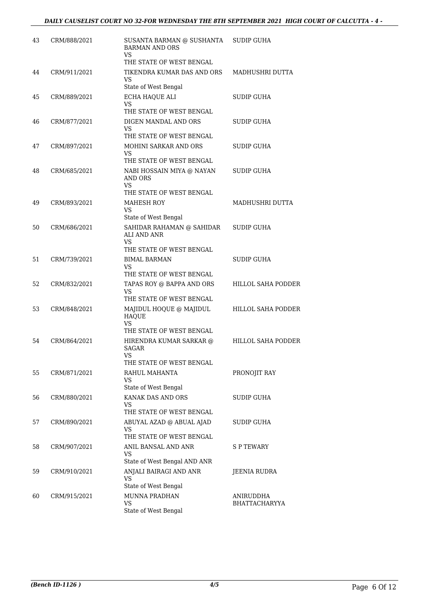| 43 | CRM/888/2021 | SUSANTA BARMAN @ SUSHANTA  SUDIP GUHA<br><b>BARMAN AND ORS</b><br>VS |                                   |
|----|--------------|----------------------------------------------------------------------|-----------------------------------|
|    |              | THE STATE OF WEST BENGAL                                             |                                   |
| 44 | CRM/911/2021 | TIKENDRA KUMAR DAS AND ORS<br>VS<br>State of West Bengal             | MADHUSHRI DUTTA                   |
| 45 | CRM/889/2021 | ECHA HAQUE ALI                                                       | <b>SUDIP GUHA</b>                 |
|    |              | VS<br>THE STATE OF WEST BENGAL                                       |                                   |
| 46 | CRM/877/2021 | DIGEN MANDAL AND ORS<br>VS<br>THE STATE OF WEST BENGAL               | <b>SUDIP GUHA</b>                 |
| 47 | CRM/897/2021 | MOHINI SARKAR AND ORS                                                | <b>SUDIP GUHA</b>                 |
|    |              | VS.<br>THE STATE OF WEST BENGAL                                      |                                   |
| 48 | CRM/685/2021 | NABI HOSSAIN MIYA @ NAYAN                                            | SUDIP GUHA                        |
|    |              | AND ORS<br>VS                                                        |                                   |
|    |              | THE STATE OF WEST BENGAL                                             |                                   |
| 49 | CRM/893/2021 | MAHESH ROY<br><b>VS</b>                                              | MADHUSHRI DUTTA                   |
| 50 |              | State of West Bengal                                                 | <b>SUDIP GUHA</b>                 |
|    | CRM/686/2021 | SAHIDAR RAHAMAN @ SAHIDAR<br>ALI AND ANR<br>VS                       |                                   |
|    |              | THE STATE OF WEST BENGAL                                             |                                   |
| 51 | CRM/739/2021 | <b>BIMAL BARMAN</b><br>VS<br>THE STATE OF WEST BENGAL                | <b>SUDIP GUHA</b>                 |
| 52 | CRM/832/2021 | TAPAS ROY @ BAPPA AND ORS                                            | <b>HILLOL SAHA PODDER</b>         |
|    |              | VS.<br>THE STATE OF WEST BENGAL                                      |                                   |
| 53 | CRM/848/2021 | MAJIDUL HOQUE @ MAJIDUL                                              | <b>HILLOL SAHA PODDER</b>         |
|    |              | <b>HAQUE</b><br>VS                                                   |                                   |
|    |              | THE STATE OF WEST BENGAL                                             |                                   |
| 54 | CRM/864/2021 | HIRENDRA KUMAR SARKAR @<br><b>SAGAR</b><br>VS —                      | <b>HILLOL SAHA PODDER</b>         |
|    |              | THE STATE OF WEST BENGAL                                             |                                   |
| 55 | CRM/871/2021 | RAHUL MAHANTA<br>VS                                                  | PRONOJIT RAY                      |
|    |              | State of West Bengal                                                 |                                   |
| 56 | CRM/880/2021 | KANAK DAS AND ORS<br>VS                                              | <b>SUDIP GUHA</b>                 |
|    |              | THE STATE OF WEST BENGAL                                             |                                   |
| 57 | CRM/890/2021 | ABUYAL AZAD @ ABUAL AJAD<br>VS<br>THE STATE OF WEST BENGAL           | <b>SUDIP GUHA</b>                 |
| 58 | CRM/907/2021 | ANIL BANSAL AND ANR                                                  | <b>SPTEWARY</b>                   |
|    |              | <b>VS</b>                                                            |                                   |
|    |              | State of West Bengal AND ANR                                         |                                   |
| 59 | CRM/910/2021 | ANJALI BAIRAGI AND ANR<br>VS                                         | <b>JEENIA RUDRA</b>               |
|    |              | State of West Bengal                                                 |                                   |
| 60 | CRM/915/2021 | <b>MUNNA PRADHAN</b><br>VS<br>State of West Bengal                   | ANIRUDDHA<br><b>BHATTACHARYYA</b> |
|    |              |                                                                      |                                   |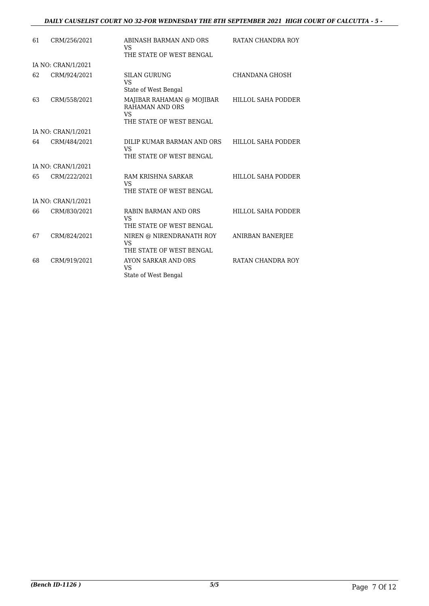#### *DAILY CAUSELIST COURT NO 32-FOR WEDNESDAY THE 8TH SEPTEMBER 2021 HIGH COURT OF CALCUTTA - 5 -*

| 61 | CRM/256/2021       | ABINASH BARMAN AND ORS<br><b>VS</b>                                                          | RATAN CHANDRA ROY         |
|----|--------------------|----------------------------------------------------------------------------------------------|---------------------------|
|    |                    | THE STATE OF WEST BENGAL                                                                     |                           |
|    | IA NO: CRAN/1/2021 |                                                                                              |                           |
| 62 | CRM/924/2021       | <b>SILAN GURUNG</b><br>VS<br>State of West Bengal                                            | CHANDANA GHOSH            |
| 63 | CRM/558/2021       | MAJIBAR RAHAMAN @ MOJIBAR<br><b>RAHAMAN AND ORS</b><br><b>VS</b><br>THE STATE OF WEST BENGAL | <b>HILLOL SAHA PODDER</b> |
|    | IA NO: CRAN/1/2021 |                                                                                              |                           |
| 64 | CRM/484/2021       | DILIP KUMAR BARMAN AND ORS<br>VS<br>THE STATE OF WEST BENGAL                                 | HILLOL SAHA PODDER        |
|    | IA NO: CRAN/1/2021 |                                                                                              |                           |
| 65 | CRM/222/2021       | RAM KRISHNA SARKAR<br>VS<br>THE STATE OF WEST BENGAL                                         | HILLOL SAHA PODDER        |
|    | IA NO: CRAN/1/2021 |                                                                                              |                           |
| 66 | CRM/830/2021       | <b>RABIN BARMAN AND ORS</b><br>VS<br>THE STATE OF WEST BENGAL                                | <b>HILLOL SAHA PODDER</b> |
| 67 | CRM/824/2021       | NIREN @ NIRENDRANATH ROY<br>VS<br>THE STATE OF WEST BENGAL.                                  | ANIRBAN BANERJEE          |
| 68 | CRM/919/2021       | AYON SARKAR AND ORS<br>VS<br>State of West Bengal                                            | RATAN CHANDRA ROY         |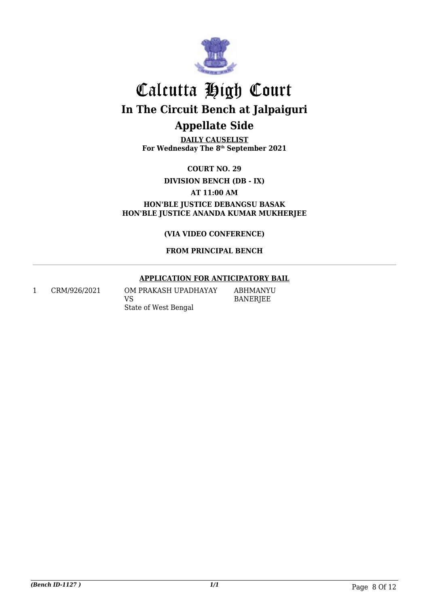

**DAILY CAUSELIST For Wednesday The 8th September 2021**

**COURT NO. 29**

**DIVISION BENCH (DB - IX)**

**AT 11:00 AM**

**HON'BLE JUSTICE DEBANGSU BASAK HON'BLE JUSTICE ANANDA KUMAR MUKHERJEE**

**(VIA VIDEO CONFERENCE)**

**FROM PRINCIPAL BENCH**

#### **APPLICATION FOR ANTICIPATORY BAIL**

1 CRM/926/2021 OM PRAKASH UPADHAYAY

VS State of West Bengal ABHMANYU BANERJEE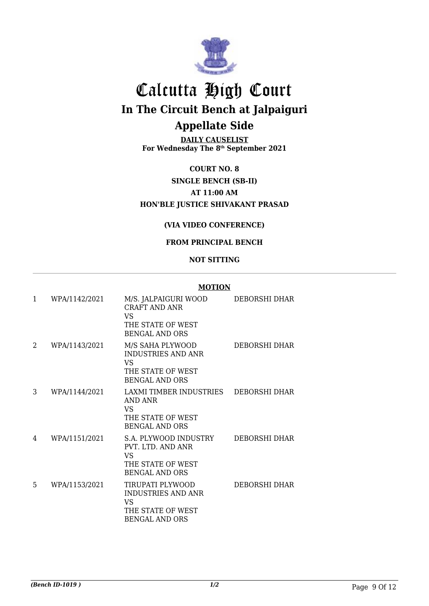

**DAILY CAUSELIST For Wednesday The 8th September 2021**

**COURT NO. 8 SINGLE BENCH (SB-II) AT 11:00 AM HON'BLE JUSTICE SHIVAKANT PRASAD**

### **(VIA VIDEO CONFERENCE)**

### **FROM PRINCIPAL BENCH**

### **NOT SITTING**

#### **MOTION**

| $\mathbf{1}$ | WPA/1142/2021 | M/S. JALPAIGURI WOOD<br>CRAFT AND ANR<br>VS.<br>THE STATE OF WEST<br><b>BENGAL AND ORS</b>         | DEBORSHI DHAR |
|--------------|---------------|----------------------------------------------------------------------------------------------------|---------------|
| 2            | WPA/1143/2021 | M/S SAHA PLYWOOD<br><b>INDUSTRIES AND ANR</b><br>VS.<br>THE STATE OF WEST<br><b>BENGAL AND ORS</b> | DEBORSHI DHAR |
| 3            | WPA/1144/2021 | LAXMI TIMBER INDUSTRIES<br>AND ANR<br>VS.<br>THE STATE OF WEST<br><b>BENGAL AND ORS</b>            | DEBORSHI DHAR |
| 4            | WPA/1151/2021 | S.A. PLYWOOD INDUSTRY<br>PVT. LTD. AND ANR<br>VS.<br>THE STATE OF WEST<br><b>BENGAL AND ORS</b>    | DEBORSHI DHAR |
| 5            | WPA/1153/2021 | TIRUPATI PLYWOOD<br><b>INDUSTRIES AND ANR</b><br>VS.<br>THE STATE OF WEST<br><b>BENGAL AND ORS</b> | DEBORSHI DHAR |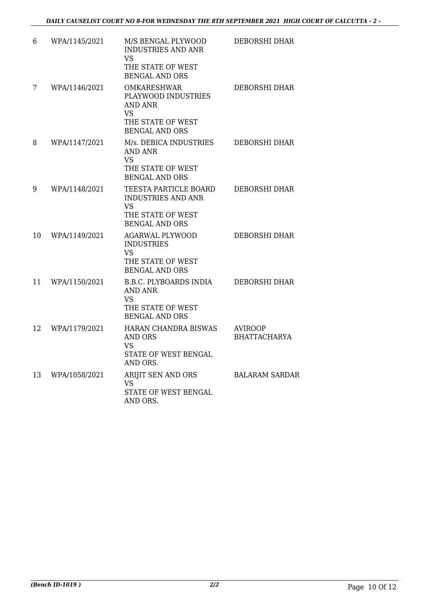| 6  | WPA/1145/2021 | M/S BENGAL PLYWOOD<br><b>INDUSTRIES AND ANR</b><br>VS<br>THE STATE OF WEST                                 | DEBORSHI DHAR                         |
|----|---------------|------------------------------------------------------------------------------------------------------------|---------------------------------------|
| 7  | WPA/1146/2021 | <b>BENGAL AND ORS</b><br><b>OMKARESHWAR</b><br>PLAYWOOD INDUSTRIES<br>AND ANR<br><b>VS</b>                 | DEBORSHI DHAR                         |
|    |               | THE STATE OF WEST<br><b>BENGAL AND ORS</b>                                                                 |                                       |
| 8  | WPA/1147/2021 | M/s. DEBICA INDUSTRIES<br>AND ANR<br><b>VS</b><br>THE STATE OF WEST                                        | <b>DEBORSHI DHAR</b>                  |
|    |               | <b>BENGAL AND ORS</b>                                                                                      |                                       |
| 9  | WPA/1148/2021 | TEESTA PARTICLE BOARD<br><b>INDUSTRIES AND ANR</b><br>VS.<br>THE STATE OF WEST<br><b>BENGAL AND ORS</b>    | DEBORSHI DHAR                         |
| 10 | WPA/1149/2021 | <b>AGARWAL PLYWOOD</b><br><b>INDUSTRIES</b><br>VS<br>THE STATE OF WEST<br><b>BENGAL AND ORS</b>            | <b>DEBORSHI DHAR</b>                  |
| 11 | WPA/1150/2021 | <b>B.B.C. PLYBOARDS INDIA</b><br><b>AND ANR</b><br><b>VS</b><br>THE STATE OF WEST<br><b>BENGAL AND ORS</b> | <b>DEBORSHI DHAR</b>                  |
| 12 | WPA/1179/2021 | HARAN CHANDRA BISWAS<br>AND ORS<br>VS<br>STATE OF WEST BENGAL<br>AND ORS.                                  | <b>AVIROOP</b><br><b>BHATTACHARYA</b> |
| 13 | WPA/1058/2021 | ARIJIT SEN AND ORS<br><b>VS</b><br>STATE OF WEST BENGAL<br>AND ORS.                                        | <b>BALARAM SARDAR</b>                 |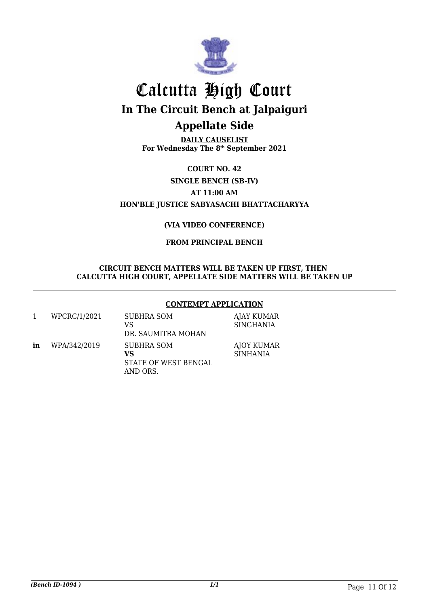

**DAILY CAUSELIST For Wednesday The 8th September 2021**

**COURT NO. 42 SINGLE BENCH (SB-IV) AT 11:00 AM HON'BLE JUSTICE SABYASACHI BHATTACHARYYA**

### **(VIA VIDEO CONFERENCE)**

### **FROM PRINCIPAL BENCH**

#### **CIRCUIT BENCH MATTERS WILL BE TAKEN UP FIRST, THEN CALCUTTA HIGH COURT, APPELLATE SIDE MATTERS WILL BE TAKEN UP**

#### **CONTEMPT APPLICATION**

|    | WPCRC/1/2021 | SUBHRA SOM<br>VS<br>DR. SAUMITRA MOHAN               | AJAY KUMAR<br><b>SINGHANIA</b>       |
|----|--------------|------------------------------------------------------|--------------------------------------|
| in | WPA/342/2019 | SUBHRA SOM<br>VS<br>STATE OF WEST BENGAL<br>AND ORS. | <b>AJOY KUMAR</b><br><b>SINHANIA</b> |